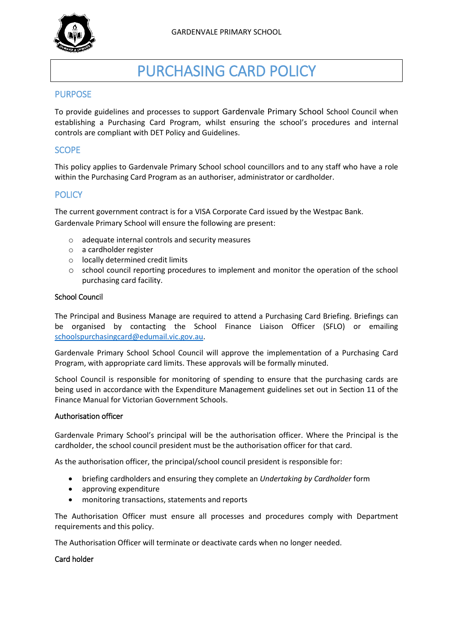

# PURCHASING CARD POLICY

# PURPOSE

To provide guidelines and processes to support Gardenvale Primary School School Council when establishing a Purchasing Card Program, whilst ensuring the school's procedures and internal controls are compliant with DET Policy and Guidelines.

## **SCOPE**

This policy applies to Gardenvale Primary School school councillors and to any staff who have a role within the Purchasing Card Program as an authoriser, administrator or cardholder.

# **POLICY**

The current government contract is for a VISA Corporate Card issued by the Westpac Bank. Gardenvale Primary School will ensure the following are present:

- o adequate internal controls and security measures
- o a cardholder register
- o locally determined credit limits
- o school council reporting procedures to implement and monitor the operation of the school purchasing card facility.

#### School Council

The Principal and Business Manage are required to attend a Purchasing Card Briefing. Briefings can be organised by contacting the School Finance Liaison Officer (SFLO) or emailing [schoolspurchasingcard@edumail.vic.gov.au.](mailto:schoolspurchasingcard@edumail.vic.gov.au)

Gardenvale Primary School School Council will approve the implementation of a Purchasing Card Program, with appropriate card limits. These approvals will be formally minuted.

School Council is responsible for monitoring of spending to ensure that the purchasing cards are being used in accordance with the Expenditure Management guidelines set out in Section 11 of the Finance Manual for Victorian Government Schools.

#### Authorisation officer

Gardenvale Primary School's principal will be the authorisation officer. Where the Principal is the cardholder, the school council president must be the authorisation officer for that card.

As the authorisation officer, the principal/school council president is responsible for:

- briefing cardholders and ensuring they complete an *Undertaking by Cardholder* form
- approving expenditure
- monitoring transactions, statements and reports

The Authorisation Officer must ensure all processes and procedures comply with Department requirements and this policy.

The Authorisation Officer will terminate or deactivate cards when no longer needed.

#### Card holder